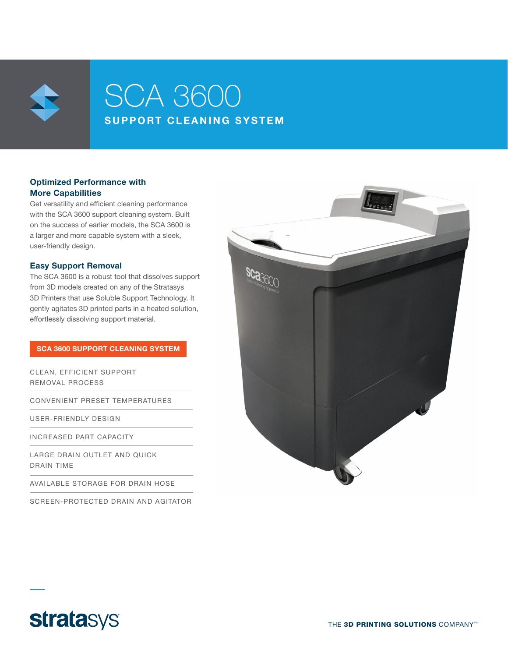

# SCA 3600 SUPPORT CLEANING SYSTEM

# Optimized Performance with More Capabilities

Get versatility and efficient cleaning performance with the SCA 3600 support cleaning system. Built on the success of earlier models, the SCA 3600 is a larger and more capable system with a sleek, user-friendly design.

## Easy Support Removal

The SCA 3600 is a robust tool that dissolves support from 3D models created on any of the Stratasys 3D Printers that use Soluble Support Technology. It gently agitates 3D printed parts in a heated solution, effortlessly dissolving support material.

### SCA 3600 SUPPORT CLEANING SYSTEM

CLEAN, EFFICIENT SUPPORT REMOVAL PROCESS

CONVENIENT PRESET TEMPERATURES

USER-FRIENDLY DESIGN

INCREASED PART CAPACITY

LARGE DRAIN OUTLET AND QUICK DRAIN TIME

AVAILABLE STORAGE FOR DRAIN HOSE

SCREEN-PROTECTED DRAIN AND AGITATOR